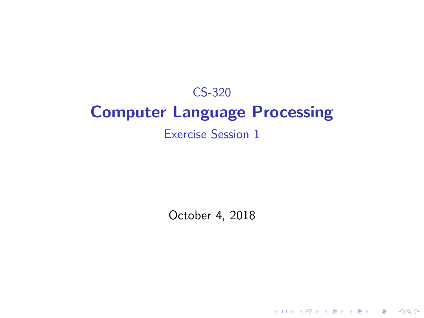# CS-320 **Computer Language Processing** Exercise Session 1

October 4, 2018

**Kロトメ部トメミトメミト ミニのQC**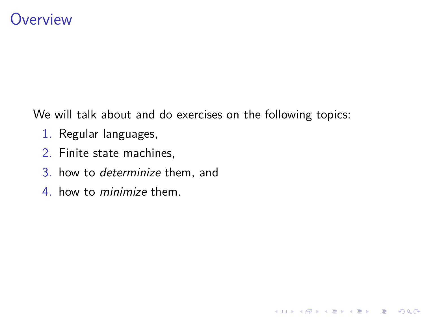## **Overview**

We will talk about and do exercises on the following topics:

K ロ ▶ K 個 ▶ K 할 ▶ K 할 ▶ 이 할 → 9 Q Q →

- 1. Regular languages,
- 2. Finite state machines,
- 3. how to determinize them, and
- 4. how to minimize them.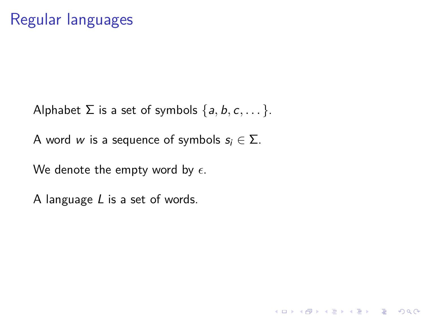Alphabet  $\Sigma$  is a set of symbols  $\{a, b, c, \dots\}$ .

A word w is a sequence of symbols  $s_i \in \Sigma$ .

We denote the empty word by  $\epsilon$ .

A language L is a set of words.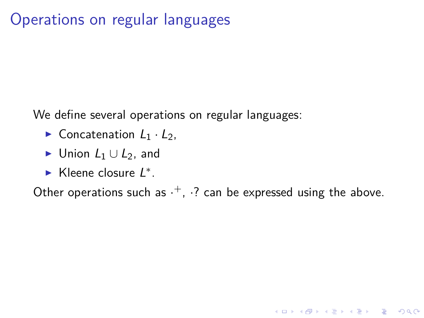# Operations on regular languages

We define several operations on regular languages:

- $\triangleright$  Concatenation  $L_1 \cdot L_2$ ,
- $\triangleright$  Union  $L_1 \cup L_2$ , and
- ► Kleene closure L<sup>\*</sup>.

Other operations such as  $\cdot^+$ ,  $\cdot$ ? can be expressed using the above.

K ロ ▶ K 個 ▶ K 할 ▶ K 할 ▶ 이 할 → 9 Q Q →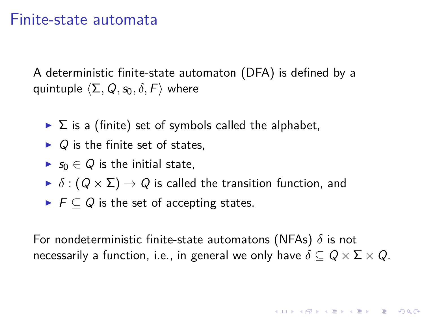#### Finite-state automata

A deterministic finite-state automaton (DFA) is defined by a quintuple  $\langle \Sigma, Q, s_0, \delta, F \rangle$  where

- $\triangleright$   $\Sigma$  is a (finite) set of symbols called the alphabet,
- $\triangleright$  Q is the finite set of states.
- ►  $s_0 \in Q$  is the initial state,
- $\blacktriangleright$   $\delta$  :  $(Q \times \Sigma) \rightarrow Q$  is called the transition function, and
- $\blacktriangleright$   $\vdash$   $\vdash$   $\subset$   $Q$  is the set of accepting states.

For nondeterministic finite-state automatons (NFAs) *δ* is not necessarily a function, i.e., in general we only have  $\delta \subset Q \times \Sigma \times Q$ .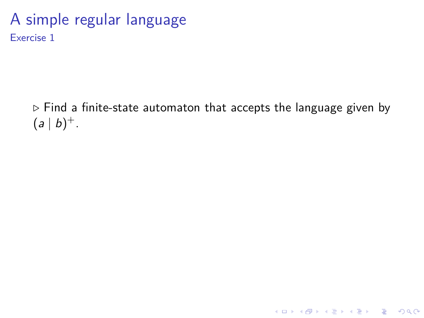### A simple regular language Exercise 1

 $\triangleright$  Find a finite-state automaton that accepts the language given by  $(a | b)^+$ .

**Kロトメ部トメミトメミト ミニのQC**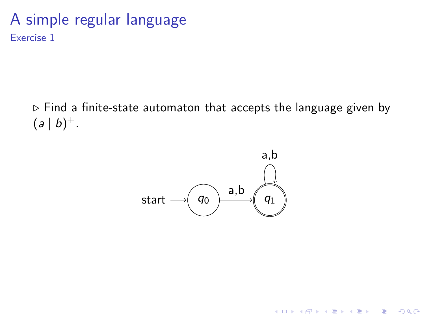### A simple regular language Exercise 1

 $\triangleright$  Find a finite-state automaton that accepts the language given by  $(a | b)^+$ .



K ロ ▶ K 個 ▶ K 할 ▶ K 할 ▶ ( 할 → ) 익 Q Q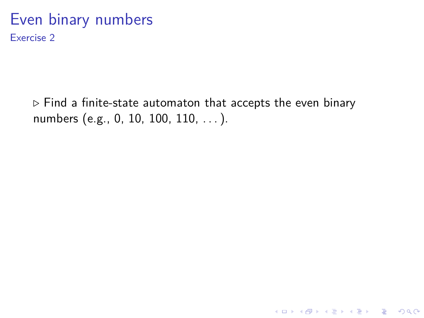#### Even binary numbers Exercise 2

*.* Find a finite-state automaton that accepts the even binary numbers (e.g., 0, 10, 100, 110, ...).

K ロ ▶ K @ ▶ K 할 ▶ K 할 ▶ | 할 | © 9 Q @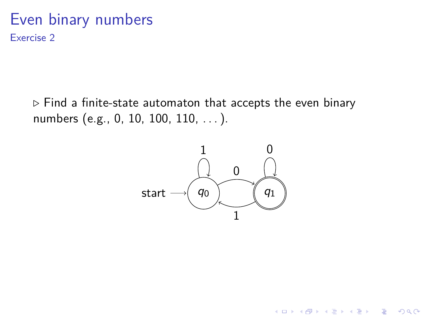#### Even binary numbers Exercise 2

*.* Find a finite-state automaton that accepts the even binary numbers (e.g., 0, 10, 100, 110, . . . ).



K ロ ▶ K 個 ▶ K 할 ▶ K 할 ▶ 이 할 → 이익 @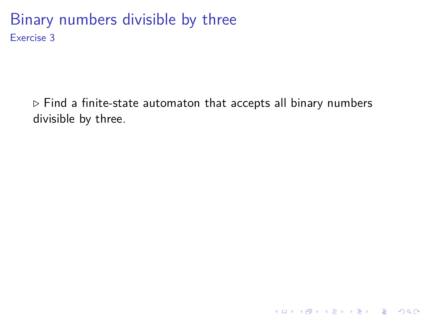## Binary numbers divisible by three Exercise 3

*.* Find a finite-state automaton that accepts all binary numbers divisible by three.

KO K K Ø K K E K K E K V K K K K K K K K K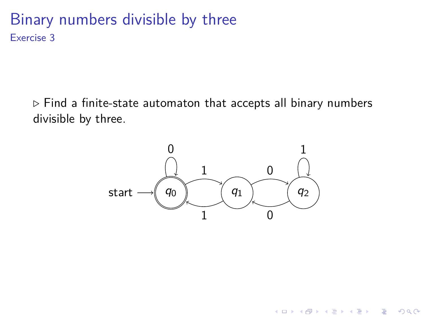## Binary numbers divisible by three Exercise 3

*.* Find a finite-state automaton that accepts all binary numbers divisible by three.



K ロ ▶ K 個 ▶ K 할 ▶ K 할 ▶ 이 할 → 이익 @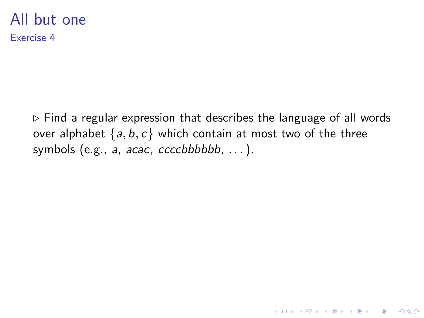#### All but one Exercise 4

*.* Find a regular expression that describes the language of all words over alphabet  $\{a, b, c\}$  which contain at most two of the three symbols (e.g.,  $a$ ,  $acac$ ,  $ccccbbbbb$ , ...).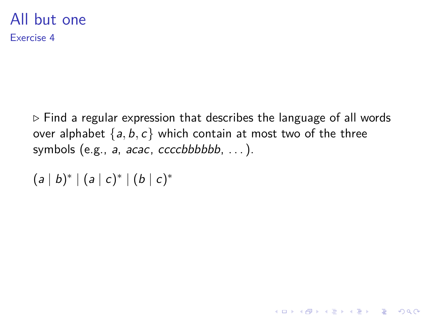#### All but one Exercise 4

*.* Find a regular expression that describes the language of all words over alphabet  $\{a, b, c\}$  which contain at most two of the three symbols (e.g.,  $a$ ,  $acac$ ,  $ccccbbbbb$ , ...).

K ロ ▶ K 個 ▶ K 할 ▶ K 할 ▶ 이 할 → 9 Q Q →

```
(a | b)^* | (a | c)^* | (b | c)^*
```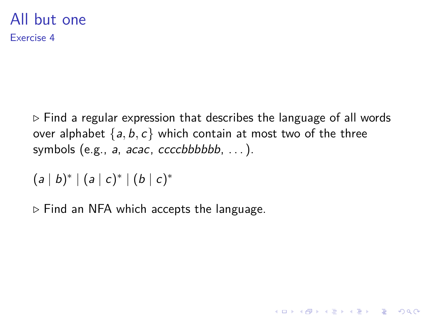#### All but one Exercise 4

*.* Find a regular expression that describes the language of all words over alphabet  $\{a, b, c\}$  which contain at most two of the three symbols (e.g.,  $a$ ,  $acac$ ,  $ccc$ c $b$ bbbbb,  $\dots$ ).

K ロ ▶ K 個 ▶ K 할 ▶ K 할 ▶ 이 할 → 9 Q Q →

```
(a | b)^* | (a | c)^* | (b | c)^*
```
*.* Find an NFA which accepts the language.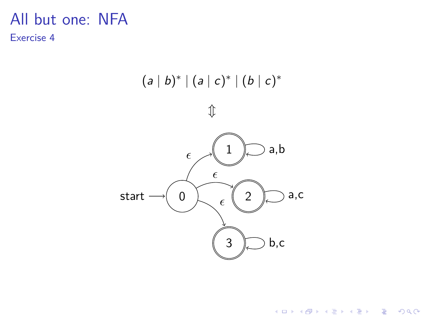#### All but one: NFA Exercise 4



イロト イ母 トイミト イミト ニヨー りんぺ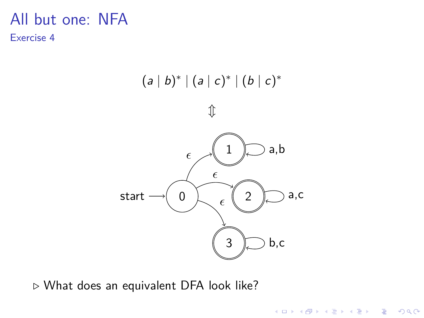#### All but one: NFA Exercise 4



K ロ ▶ K 個 ▶ K 결 ▶ K 결 ▶ │ 결 │ K 9 Q Q

*.* What does an equivalent DFA look like?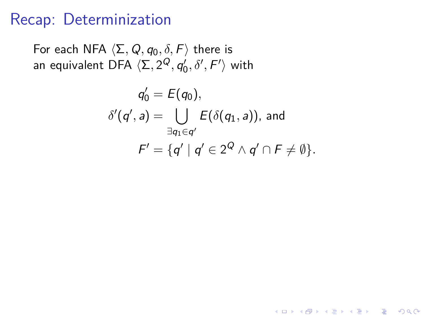# Recap: Determinization

For each NFA  $\langle \Sigma, Q, q_0, \delta, F \rangle$  there is an equivalent DFA  $\langle \Sigma, 2^Q, q'_0, \delta', F' \rangle$  with

$$
q'_0 = E(q_0),
$$
  
\n
$$
\delta'(q', a) = \bigcup_{\exists q_1 \in q'} E(\delta(q_1, a)), \text{ and}
$$
  
\n
$$
F' = \{q' \mid q' \in 2^Q \land q' \cap F \neq \emptyset\}.
$$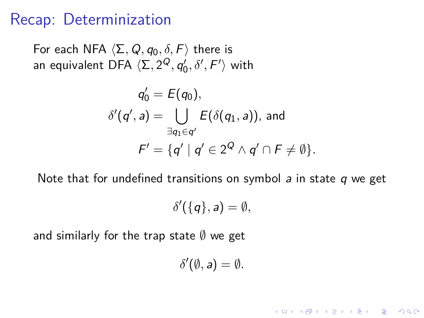# Recap: Determinization

For each NFA  $\langle \Sigma, Q, q_0, \delta, F \rangle$  there is an equivalent DFA  $\langle \Sigma, 2^Q, q'_0, \delta', F' \rangle$  with

$$
q'_0 = E(q_0),
$$
  
\n
$$
\delta'(q', a) = \bigcup_{\exists q_1 \in q'} E(\delta(q_1, a)), \text{ and}
$$
  
\n
$$
F' = \{q' \mid q' \in 2^Q \land q' \cap F \neq \emptyset\}.
$$

Note that for undefined transitions on symbol  $a$  in state  $q$  we get

$$
\delta'(\{q\},a)=\emptyset,
$$

and similarly for the trap state  $\emptyset$  we get

$$
\delta'(\emptyset, a) = \emptyset.
$$

KELK KØLK VELKEN EL 1990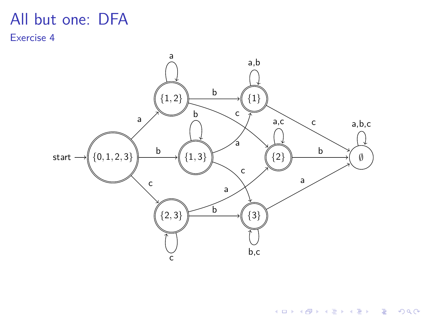#### All but one: DFA Exercise 4



**Kロトメ部トメミトメミト ミニのQC**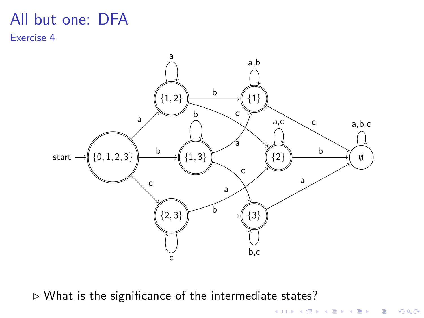#### All but one: DFA Exercise 4



KOKK@KKEKKEK E 1990

*.* What is the significance of the intermediate states?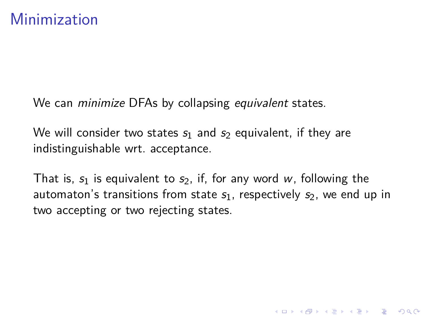We can *minimize* DFAs by collapsing *equivalent* states.

We will consider two states  $s_1$  and  $s_2$  equivalent, if they are indistinguishable wrt. acceptance.

That is,  $s_1$  is equivalent to  $s_2$ , if, for any word w, following the automaton's transitions from state  $s<sub>1</sub>$ , respectively  $s<sub>2</sub>$ , we end up in two accepting or two rejecting states.

**KORKARYKERKER POLO**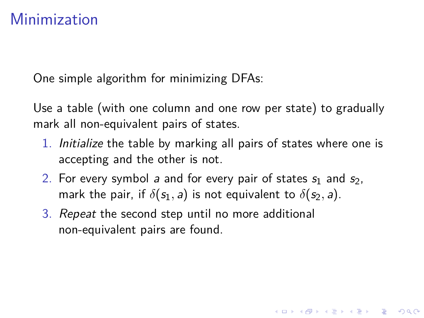# Minimization

One simple algorithm for minimizing DFAs:

Use a table (with one column and one row per state) to gradually mark all non-equivalent pairs of states.

1. Initialize the table by marking all pairs of states where one is accepting and the other is not.

**KORKAR KERKER SAGA** 

- 2. For every symbol a and for every pair of states  $s_1$  and  $s_2$ , mark the pair, if  $\delta(s_1, a)$  is not equivalent to  $\delta(s_2, a)$ .
- 3. Repeat the second step until no more additional non-equivalent pairs are found.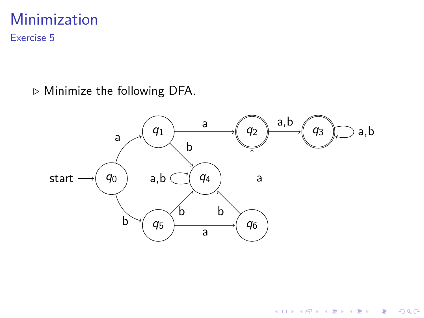# Minimization

Exercise 5

*.* Minimize the following DFA.



イロト 不優 トイ磨 トイ磨 トー 磨っ

 $299$